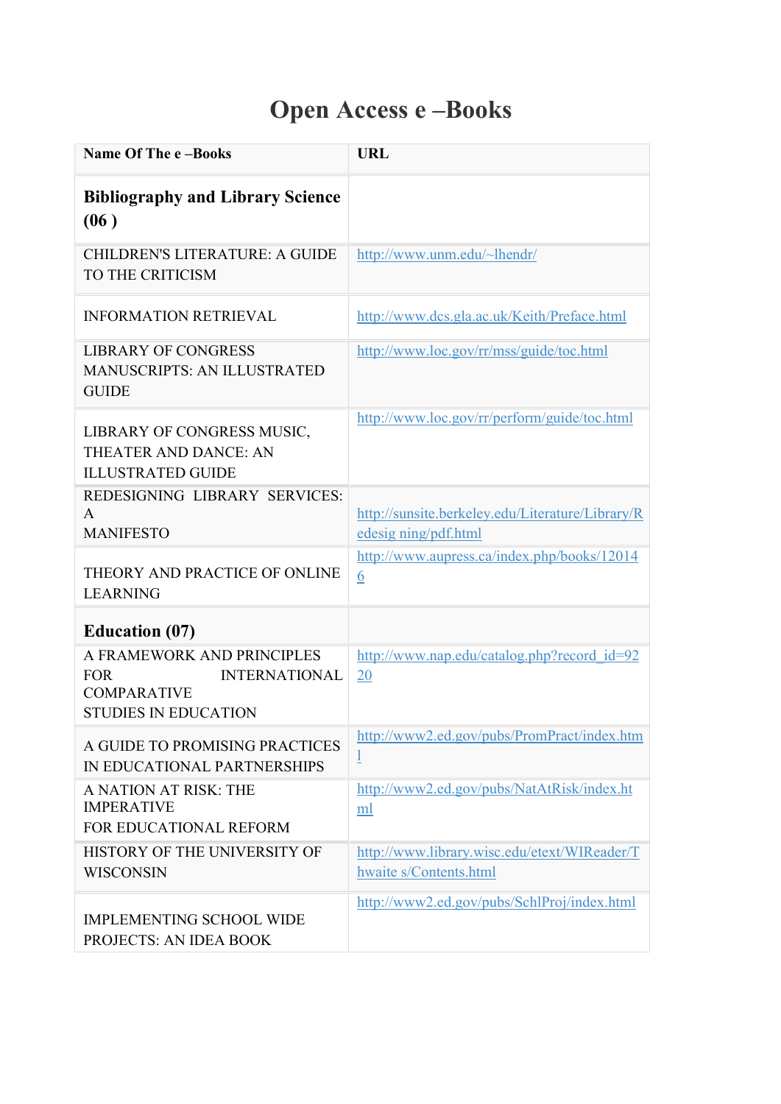## Open Access e –Books

| Name Of The e-Books                                                                                                   | URL                                                                      |
|-----------------------------------------------------------------------------------------------------------------------|--------------------------------------------------------------------------|
| <b>Bibliography and Library Science</b><br>(06)                                                                       |                                                                          |
| <b>CHILDREN'S LITERATURE: A GUIDE</b><br>TO THE CRITICISM                                                             | http://www.unm.edu/~lhendr/                                              |
| <b>INFORMATION RETRIEVAL</b>                                                                                          | http://www.dcs.gla.ac.uk/Keith/Preface.html                              |
| <b>LIBRARY OF CONGRESS</b><br><b>MANUSCRIPTS: AN ILLUSTRATED</b><br><b>GUIDE</b>                                      | http://www.loc.gov/rr/mss/guide/toc.html                                 |
| LIBRARY OF CONGRESS MUSIC,<br>THEATER AND DANCE: AN<br><b>ILLUSTRATED GUIDE</b>                                       | http://www.loc.gov/rr/perform/guide/toc.html                             |
| REDESIGNING LIBRARY SERVICES:<br>A<br><b>MANIFESTO</b>                                                                | http://sunsite.berkeley.edu/Literature/Library/R<br>edesig ning/pdf.html |
| THEORY AND PRACTICE OF ONLINE<br><b>LEARNING</b>                                                                      | http://www.aupress.ca/index.php/books/12014<br>6                         |
| <b>Education (07)</b>                                                                                                 |                                                                          |
| A FRAMEWORK AND PRINCIPLES<br><b>INTERNATIONAL</b><br><b>FOR</b><br><b>COMPARATIVE</b><br><b>STUDIES IN EDUCATION</b> | http://www.nap.edu/catalog.php?record_id=92<br>20                        |
| A GUIDE TO PROMISING PRACTICES<br>IN EDUCATIONAL PARTNERSHIPS                                                         | http://www2.ed.gov/pubs/PromPract/index.htm<br>$\overline{1}$            |
| A NATION AT RISK: THE<br><b>IMPERATIVE</b><br>FOR EDUCATIONAL REFORM                                                  | http://www2.ed.gov/pubs/NatAtRisk/index.ht<br>ml                         |
| HISTORY OF THE UNIVERSITY OF<br><b>WISCONSIN</b>                                                                      | http://www.library.wisc.edu/etext/WIReader/T<br>hwaite s/Contents.html   |
| <b>IMPLEMENTING SCHOOL WIDE</b><br>PROJECTS: AN IDEA BOOK                                                             | http://www2.ed.gov/pubs/SchlProj/index.html                              |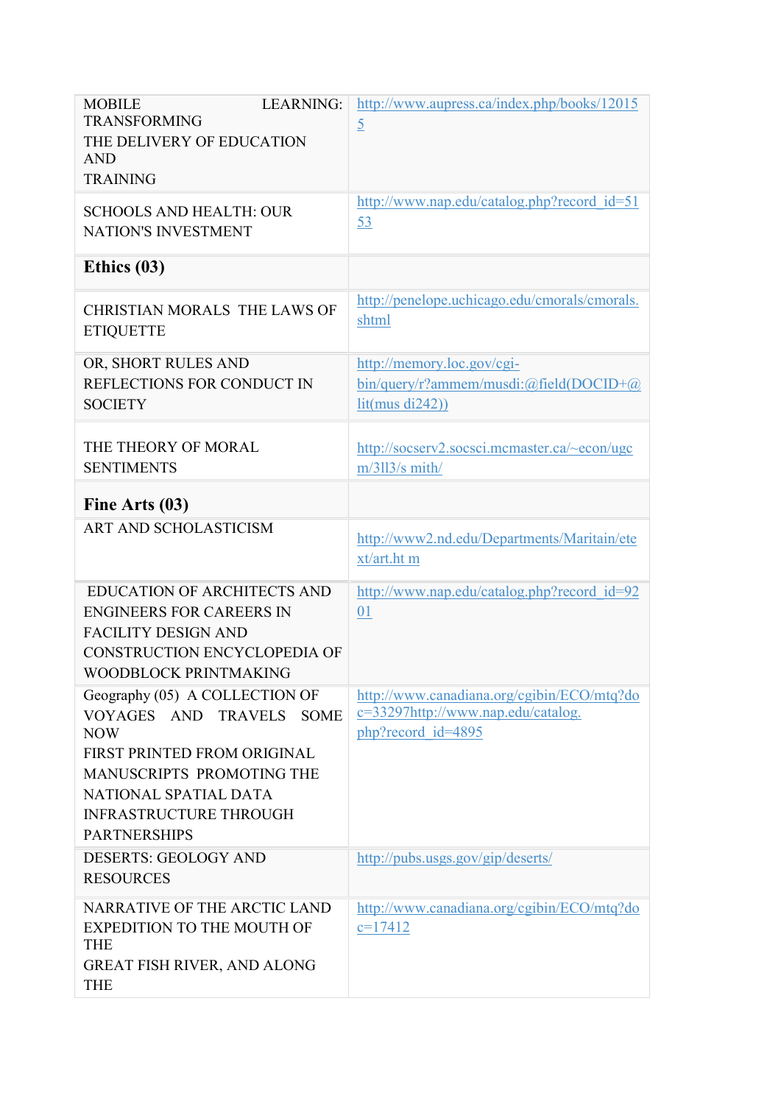| <b>LEARNING:</b><br><b>MOBILE</b><br><b>TRANSFORMING</b><br>THE DELIVERY OF EDUCATION<br><b>AND</b><br><b>TRAINING</b>                                                                                                                    | http://www.aupress.ca/index.php/books/12015<br>$\overline{5}$                                          |
|-------------------------------------------------------------------------------------------------------------------------------------------------------------------------------------------------------------------------------------------|--------------------------------------------------------------------------------------------------------|
| <b>SCHOOLS AND HEALTH: OUR</b><br><b>NATION'S INVESTMENT</b>                                                                                                                                                                              | http://www.nap.edu/catalog.php?record_id=51<br>53                                                      |
| Ethics $(03)$                                                                                                                                                                                                                             |                                                                                                        |
| CHRISTIAN MORALS THE LAWS OF<br><b>ETIQUETTE</b>                                                                                                                                                                                          | http://penelope.uchicago.edu/cmorals/cmorals.<br>shtml                                                 |
| OR, SHORT RULES AND<br>REFLECTIONS FOR CONDUCT IN<br><b>SOCIETY</b>                                                                                                                                                                       | http://memory.loc.gov/cgi-<br>$bin/query/r?$ ammem/musdi:@field(DOCID+@)<br>lit(mus di242))            |
| THE THEORY OF MORAL<br><b>SENTIMENTS</b>                                                                                                                                                                                                  | http://socserv2.socsci.mcmaster.ca/~econ/ugc<br>m/3113/s mith/                                         |
| Fine Arts (03)                                                                                                                                                                                                                            |                                                                                                        |
| ART AND SCHOLASTICISM                                                                                                                                                                                                                     | http://www2.nd.edu/Departments/Maritain/ete<br>xt/art.ht m                                             |
| <b>EDUCATION OF ARCHITECTS AND</b><br><b>ENGINEERS FOR CAREERS IN</b><br><b>FACILITY DESIGN AND</b><br>CONSTRUCTION ENCYCLOPEDIA OF<br>WOODBLOCK PRINTMAKING                                                                              | http://www.nap.edu/catalog.php?record_id=92<br>01                                                      |
| Geography (05) A COLLECTION OF<br>VOYAGES AND<br><b>TRAVELS</b><br><b>SOME</b><br><b>NOW</b><br>FIRST PRINTED FROM ORIGINAL<br>MANUSCRIPTS PROMOTING THE<br>NATIONAL SPATIAL DATA<br><b>INFRASTRUCTURE THROUGH</b><br><b>PARTNERSHIPS</b> | http://www.canadiana.org/cgibin/ECO/mtq?do<br>c=33297http://www.nap.edu/catalog.<br>php?record id=4895 |
| <b>DESERTS: GEOLOGY AND</b><br><b>RESOURCES</b>                                                                                                                                                                                           | http://pubs.usgs.gov/gip/deserts/                                                                      |
| NARRATIVE OF THE ARCTIC LAND<br><b>EXPEDITION TO THE MOUTH OF</b><br><b>THE</b><br><b>GREAT FISH RIVER, AND ALONG</b><br><b>THE</b>                                                                                                       | http://www.canadiana.org/cgibin/ECO/mtq?do<br>$c=17412$                                                |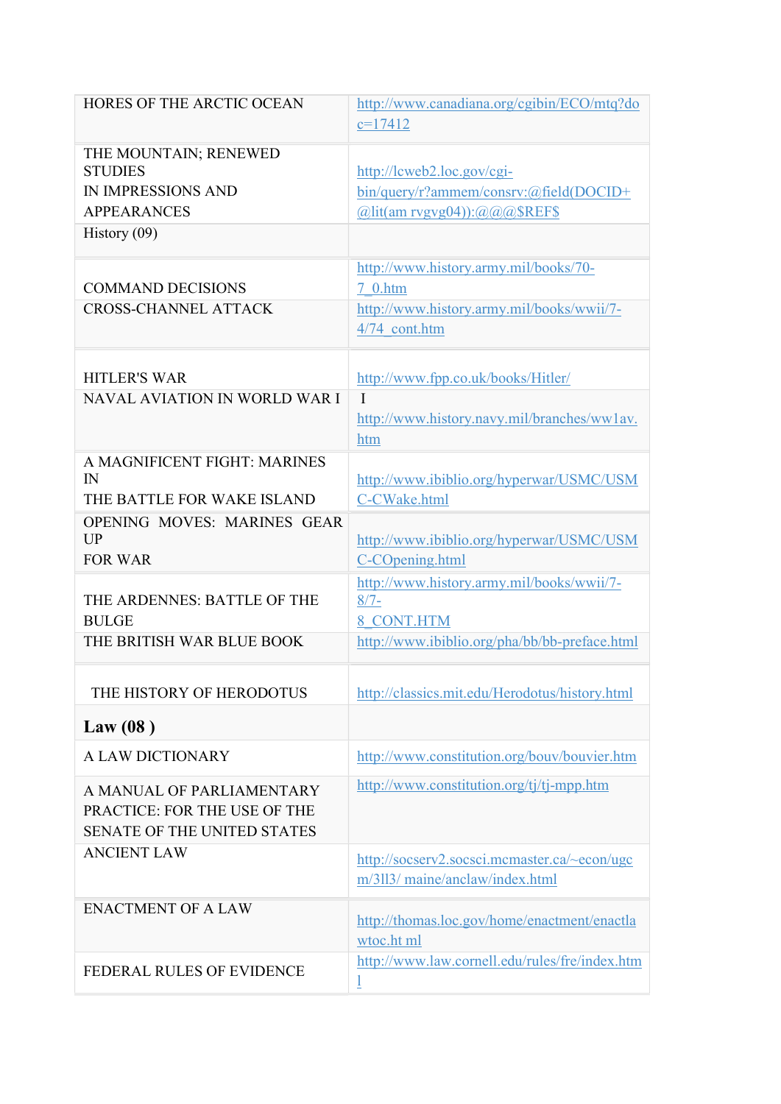| HORES OF THE ARCTIC OCEAN                                                                  | http://www.canadiana.org/cgibin/ECO/mtq?do<br>$c=17412$                                                                  |
|--------------------------------------------------------------------------------------------|--------------------------------------------------------------------------------------------------------------------------|
| THE MOUNTAIN; RENEWED<br><b>STUDIES</b><br><b>IN IMPRESSIONS AND</b><br><b>APPEARANCES</b> | http://lcweb2.loc.gov/cgi-<br>bin/query/r?ammem/consrv:@field(DOCID+<br>$(a)$ lit(am rvgvg04)): $(a)$ $(a)$ $a)$ \$REF\$ |
| History $(09)$                                                                             |                                                                                                                          |
| <b>COMMAND DECISIONS</b><br><b>CROSS-CHANNEL ATTACK</b>                                    | http://www.history.army.mil/books/70-<br>7 0.htm<br>http://www.history.army.mil/books/wwii/7-                            |
|                                                                                            | 4/74 cont.htm                                                                                                            |
| <b>HITLER'S WAR</b>                                                                        | http://www.fpp.co.uk/books/Hitler/                                                                                       |
| <b>NAVAL AVIATION IN WORLD WAR I</b>                                                       | $\mathbf{I}$<br>http://www.history.navy.mil/branches/ww1av.<br>htm                                                       |
| A MAGNIFICENT FIGHT: MARINES<br>$\mathbb{N}$<br>THE BATTLE FOR WAKE ISLAND                 | http://www.ibiblio.org/hyperwar/USMC/USM<br>C-CWake.html                                                                 |
| OPENING MOVES: MARINES GEAR<br>UP<br><b>FOR WAR</b>                                        | http://www.ibiblio.org/hyperwar/USMC/USM<br>C-COpening.html                                                              |
| THE ARDENNES: BATTLE OF THE<br><b>BULGE</b>                                                | http://www.history.army.mil/books/wwii/7-<br>$8/7 -$<br>8 CONT.HTM                                                       |
| THE BRITISH WAR BLUE BOOK                                                                  | http://www.ibiblio.org/pha/bb/bb-preface.html                                                                            |
| THE HISTORY OF HERODOTUS                                                                   | http://classics.mit.edu/Herodotus/history.html                                                                           |
| Law $(08)$                                                                                 |                                                                                                                          |
| A LAW DICTIONARY                                                                           | http://www.constitution.org/bouv/bouvier.htm                                                                             |
| A MANUAL OF PARLIAMENTARY<br>PRACTICE: FOR THE USE OF THE<br>SENATE OF THE UNITED STATES   | http://www.constitution.org/tj/tj-mpp.htm                                                                                |
| <b>ANCIENT LAW</b>                                                                         | http://socserv2.socsci.mcmaster.ca/~econ/ugc<br>m/3113/ maine/anclaw/index.html                                          |
| <b>ENACTMENT OF A LAW</b>                                                                  | http://thomas.loc.gov/home/enactment/enactla<br>wtoc.ht ml                                                               |
| <b>FEDERAL RULES OF EVIDENCE</b>                                                           | http://www.law.cornell.edu/rules/fre/index.htm<br>1                                                                      |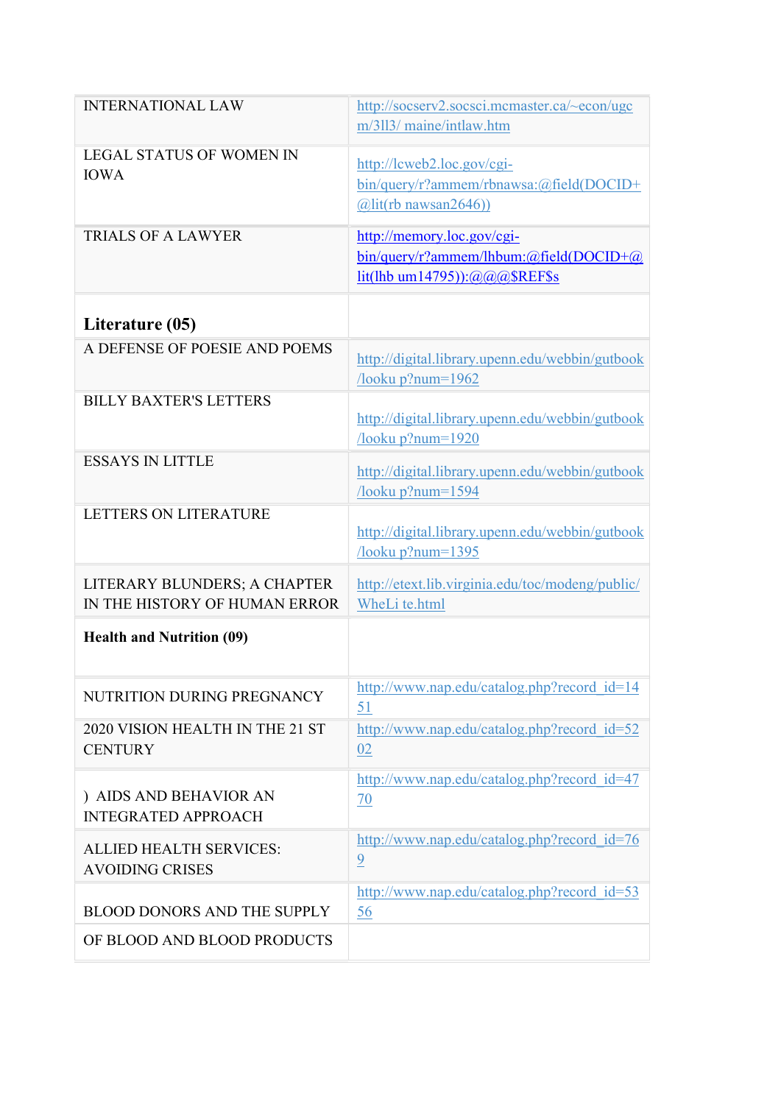| <b>INTERNATIONAL LAW</b>                                      | http://socserv2.socsci.mcmaster.ca/~econ/ugc<br>m/3113/ maine/intlaw.htm                                                        |
|---------------------------------------------------------------|---------------------------------------------------------------------------------------------------------------------------------|
| <b>LEGAL STATUS OF WOMEN IN</b><br><b>IOWA</b>                | http://lcweb2.loc.gov/cgi-<br>bin/query/r?ammem/rbnawsa:@field(DOCID+<br>$\left(\frac{\partial \ln(r)}{\partial \ln(r)}\right)$ |
| <b>TRIALS OF A LAWYER</b>                                     | http://memory.loc.gov/cgi-<br>bin/query/r?ammem/lhbum:@field(DOCID+@<br>lit(lhb um14795)):@@@\$REF\$s                           |
| Literature (05)                                               |                                                                                                                                 |
| A DEFENSE OF POESIE AND POEMS                                 | http://digital.library.upenn.edu/webbin/gutbook<br>/looku p?num=1962                                                            |
| <b>BILLY BAXTER'S LETTERS</b>                                 | http://digital.library.upenn.edu/webbin/gutbook<br>$/$ looku p?num= $1920$                                                      |
| <b>ESSAYS IN LITTLE</b>                                       | http://digital.library.upenn.edu/webbin/gutbook<br>/looku p?num=1594                                                            |
| <b>LETTERS ON LITERATURE</b>                                  | http://digital.library.upenn.edu/webbin/gutbook<br>$/$ looku p?num=1395                                                         |
| LITERARY BLUNDERS; A CHAPTER<br>IN THE HISTORY OF HUMAN ERROR | http://etext.lib.virginia.edu/toc/modeng/public/<br>WheLi te.html                                                               |
| <b>Health and Nutrition (09)</b>                              |                                                                                                                                 |
| NUTRITION DURING PREGNANCY                                    | http://www.nap.edu/catalog.php?record_id=14<br>51                                                                               |
| 2020 VISION HEALTH IN THE 21 ST<br><b>CENTURY</b>             | http://www.nap.edu/catalog.php?record id=52<br>02                                                                               |
| ) AIDS AND BEHAVIOR AN<br><b>INTEGRATED APPROACH</b>          | http://www.nap.edu/catalog.php?record id=47<br>70                                                                               |
| <b>ALLIED HEALTH SERVICES:</b><br><b>AVOIDING CRISES</b>      | http://www.nap.edu/catalog.php?record id=76<br>$\overline{9}$                                                                   |
| <b>BLOOD DONORS AND THE SUPPLY</b>                            | http://www.nap.edu/catalog.php?record_id=53<br>56                                                                               |
| OF BLOOD AND BLOOD PRODUCTS                                   |                                                                                                                                 |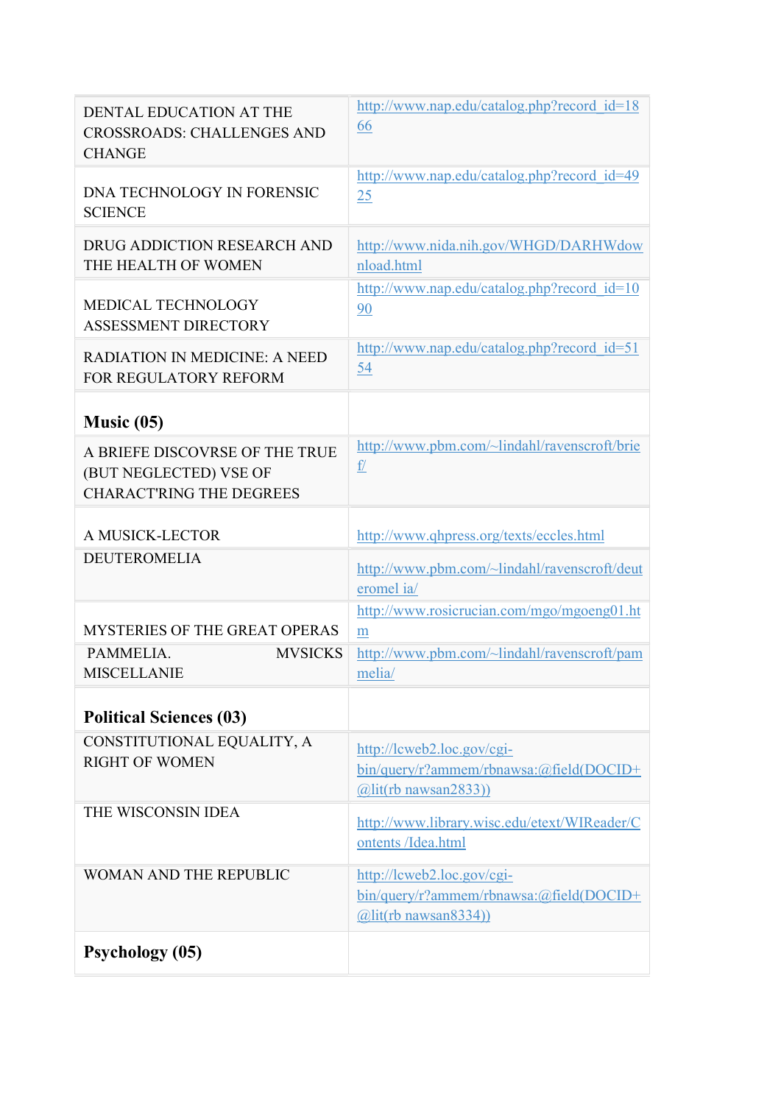| DENTAL EDUCATION AT THE<br><b>CROSSROADS: CHALLENGES AND</b><br><b>CHANGE</b>               | http://www.nap.edu/catalog.php?record_id=18<br>66                                                  |
|---------------------------------------------------------------------------------------------|----------------------------------------------------------------------------------------------------|
| DNA TECHNOLOGY IN FORENSIC<br><b>SCIENCE</b>                                                | http://www.nap.edu/catalog.php?record id=49<br>25                                                  |
| DRUG ADDICTION RESEARCH AND<br>THE HEALTH OF WOMEN                                          | http://www.nida.nih.gov/WHGD/DARHWdow<br>nload.html                                                |
| MEDICAL TECHNOLOGY<br><b>ASSESSMENT DIRECTORY</b>                                           | http://www.nap.edu/catalog.php?record id=10<br>90                                                  |
| <b>RADIATION IN MEDICINE: A NEED</b><br>FOR REGULATORY REFORM                               | http://www.nap.edu/catalog.php?record_id=51<br>54                                                  |
| Music $(05)$                                                                                |                                                                                                    |
| A BRIEFE DISCOVRSE OF THE TRUE<br>(BUT NEGLECTED) VSE OF<br><b>CHARACT'RING THE DEGREES</b> | http://www.pbm.com/~lindahl/ravenscroft/brie<br>$\underline{\underline{f}}$                        |
| A MUSICK-LECTOR                                                                             | http://www.qhpress.org/texts/eccles.html                                                           |
| <b>DEUTEROMELIA</b>                                                                         | http://www.pbm.com/~lindahl/ravenscroft/deut<br>eromel ia/                                         |
| <b>MYSTERIES OF THE GREAT OPERAS</b>                                                        | http://www.rosicrucian.com/mgo/mgoeng01.ht<br>m                                                    |
| PAMMELIA.<br><b>MVSICKS</b><br><b>MISCELLANIE</b>                                           | http://www.pbm.com/~lindahl/ravenscroft/pam<br>melia/                                              |
| <b>Political Sciences (03)</b>                                                              |                                                                                                    |
| CONSTITUTIONAL EQUALITY, A<br><b>RIGHT OF WOMEN</b>                                         | http://lcweb2.loc.gov/cgi-<br>bin/query/r?ammem/rbnawsa:@field(DOCID+<br>$(a)$ lit(rb nawsan2833)) |
| THE WISCONSIN IDEA                                                                          | http://www.library.wisc.edu/etext/WIReader/C<br>ontents /Idea.html                                 |
| <b>WOMAN AND THE REPUBLIC</b>                                                               | http://lcweb2.loc.gov/cgi-<br>bin/query/r?ammem/rbnawsa:@field(DOCID+<br>$(a)$ lit(rb nawsan8334)) |
| <b>Psychology</b> (05)                                                                      |                                                                                                    |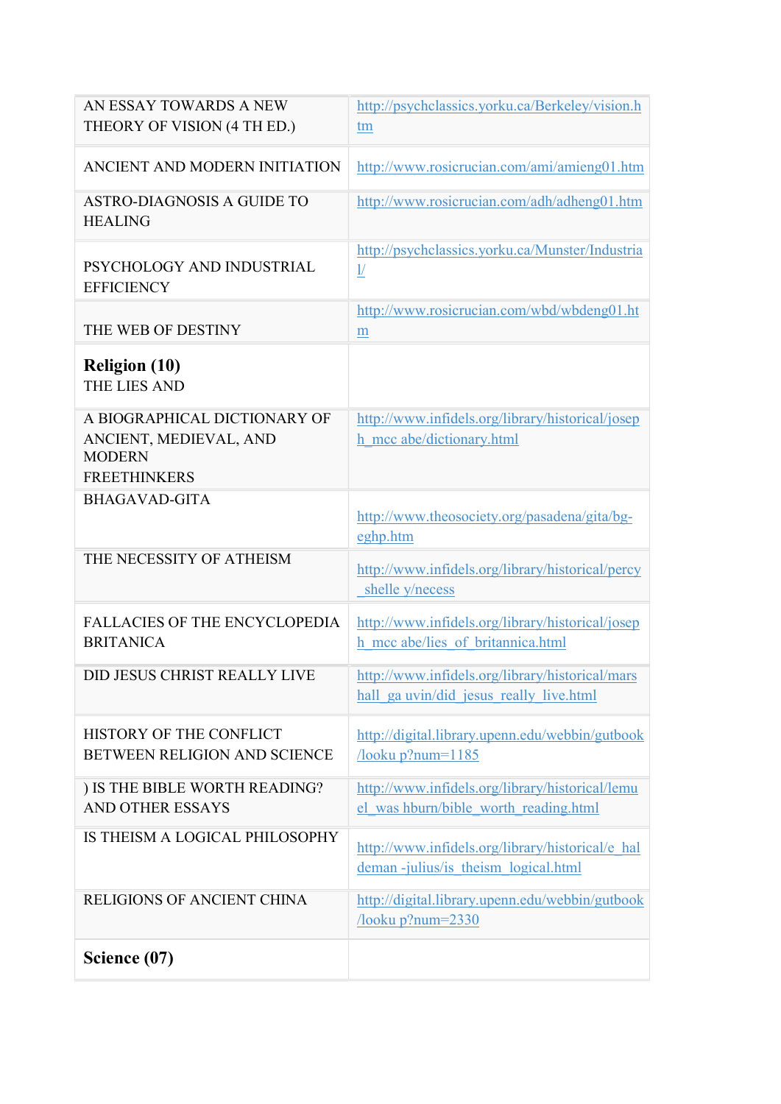| AN ESSAY TOWARDS A NEW<br>THEORY OF VISION (4 TH ED.)                                          | http://psychclassics.yorku.ca/Berkeley/vision.h<br>tm                                      |
|------------------------------------------------------------------------------------------------|--------------------------------------------------------------------------------------------|
| ANCIENT AND MODERN INITIATION                                                                  | http://www.rosicrucian.com/ami/amieng01.htm                                                |
| ASTRO-DIAGNOSIS A GUIDE TO<br><b>HEALING</b>                                                   | http://www.rosicrucian.com/adh/adheng01.htm                                                |
| PSYCHOLOGY AND INDUSTRIAL<br><b>EFFICIENCY</b>                                                 | http://psychclassics.yorku.ca/Munster/Industria<br>$\underline{\underline{1}}$             |
| THE WEB OF DESTINY                                                                             | http://www.rosicrucian.com/wbd/wbdeng01.ht<br>$\underline{m}$                              |
| <b>Religion (10)</b><br>THE LIES AND                                                           |                                                                                            |
| A BIOGRAPHICAL DICTIONARY OF<br>ANCIENT, MEDIEVAL, AND<br><b>MODERN</b><br><b>FREETHINKERS</b> | http://www.infidels.org/library/historical/josep<br>h mcc abe/dictionary.html              |
| <b>BHAGAVAD-GITA</b>                                                                           | http://www.theosociety.org/pasadena/gita/bg-<br>eghp.htm                                   |
| THE NECESSITY OF ATHEISM                                                                       | http://www.infidels.org/library/historical/percy<br>shelle y/necess                        |
| <b>FALLACIES OF THE ENCYCLOPEDIA</b><br><b>BRITANICA</b>                                       | http://www.infidels.org/library/historical/josep<br>h mcc abe/lies of britannica.html      |
| DID JESUS CHRIST REALLY LIVE                                                                   | http://www.infidels.org/library/historical/mars<br>hall ga uvin/did jesus really live.html |
| HISTORY OF THE CONFLICT<br>BETWEEN RELIGION AND SCIENCE                                        | http://digital.library.upenn.edu/webbin/gutbook<br>$/$ looku p?num= $1185$                 |
| ) IS THE BIBLE WORTH READING?<br><b>AND OTHER ESSAYS</b>                                       | http://www.infidels.org/library/historical/lemu<br>el was hburn/bible worth reading.html   |
| IS THEISM A LOGICAL PHILOSOPHY                                                                 | http://www.infidels.org/library/historical/e hal<br>deman-julius/is theism logical.html    |
| RELIGIONS OF ANCIENT CHINA                                                                     | http://digital.library.upenn.edu/webbin/gutbook<br>$/$ looku p?num= $2330$                 |
| Science (07)                                                                                   |                                                                                            |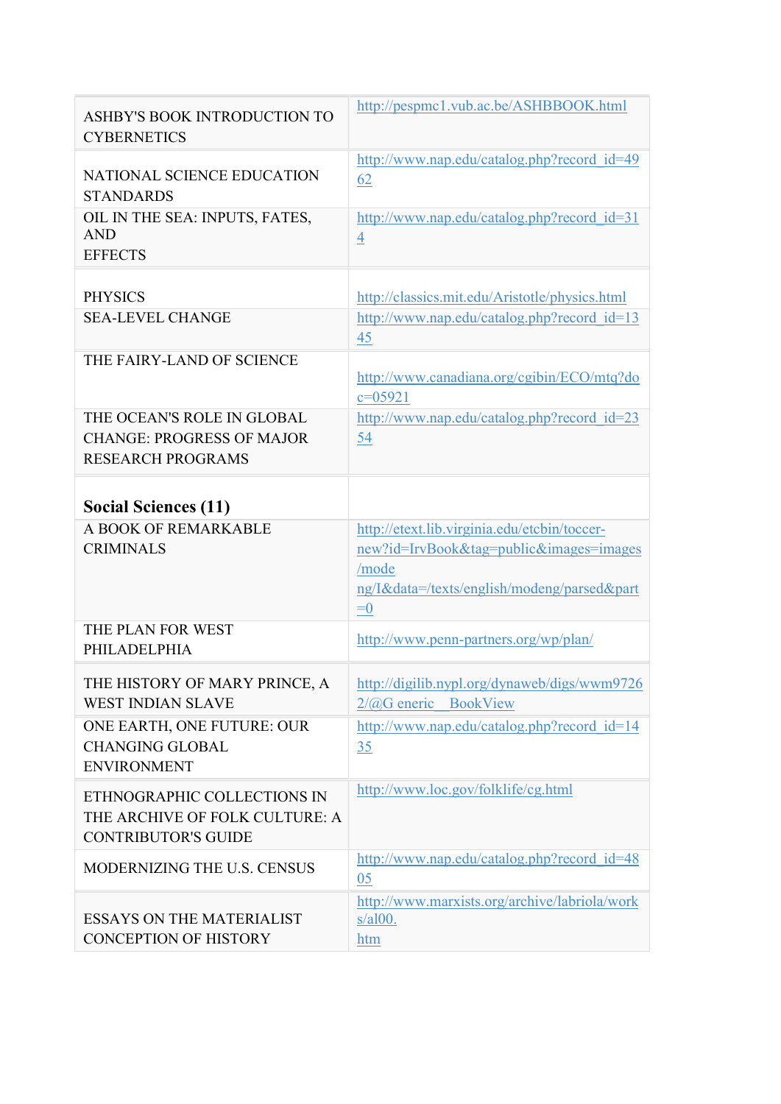| ASHBY'S BOOK INTRODUCTION TO<br><b>CYBERNETICS</b>                                          | http://pespmc1.vub.ac.be/ASHBBOOK.html                                                                                                              |
|---------------------------------------------------------------------------------------------|-----------------------------------------------------------------------------------------------------------------------------------------------------|
| NATIONAL SCIENCE EDUCATION<br><b>STANDARDS</b>                                              | http://www.nap.edu/catalog.php?record_id=49<br>62                                                                                                   |
| OIL IN THE SEA: INPUTS, FATES,<br><b>AND</b><br><b>EFFECTS</b>                              | $\frac{http://www.nap.edu/catalog.php?record}$ id=31<br>$\overline{4}$                                                                              |
| <b>PHYSICS</b>                                                                              | http://classics.mit.edu/Aristotle/physics.html                                                                                                      |
| <b>SEA-LEVEL CHANGE</b>                                                                     | http://www.nap.edu/catalog.php?record_id=13<br>45                                                                                                   |
| THE FAIRY-LAND OF SCIENCE                                                                   | http://www.canadiana.org/cgibin/ECO/mtq?do<br>$c = 05921$                                                                                           |
| THE OCEAN'S ROLE IN GLOBAL<br><b>CHANGE: PROGRESS OF MAJOR</b><br><b>RESEARCH PROGRAMS</b>  | http://www.nap.edu/catalog.php?record_id=23<br>54                                                                                                   |
| <b>Social Sciences (11)</b>                                                                 |                                                                                                                                                     |
| A BOOK OF REMARKABLE<br><b>CRIMINALS</b>                                                    | http://etext.lib.virginia.edu/etcbin/toccer-<br>new?id=IrvBook&tag=public&images=images<br>/mode<br>ng/I&data=/texts/english/modeng/parsed∂<br>$=0$ |
| THE PLAN FOR WEST<br>PHILADELPHIA                                                           | http://www.penn-partners.org/wp/plan/                                                                                                               |
| THE HISTORY OF MARY PRINCE, A<br><b>WEST INDIAN SLAVE</b>                                   | http://digilib.nypl.org/dynaweb/digs/wwm9726<br>$2/\omega G$ eneric BookView                                                                        |
| ONE EARTH, ONE FUTURE: OUR<br><b>CHANGING GLOBAL</b><br><b>ENVIRONMENT</b>                  | http://www.nap.edu/catalog.php?record id=14<br>35                                                                                                   |
| ETHNOGRAPHIC COLLECTIONS IN<br>THE ARCHIVE OF FOLK CULTURE: A<br><b>CONTRIBUTOR'S GUIDE</b> | http://www.loc.gov/folklife/cg.html                                                                                                                 |
| MODERNIZING THE U.S. CENSUS                                                                 | http://www.nap.edu/catalog.php?record id=48<br>05                                                                                                   |
| <b>ESSAYS ON THE MATERIALIST</b><br><b>CONCEPTION OF HISTORY</b>                            | http://www.marxists.org/archive/labriola/work<br>$s/a100$ .<br>htm                                                                                  |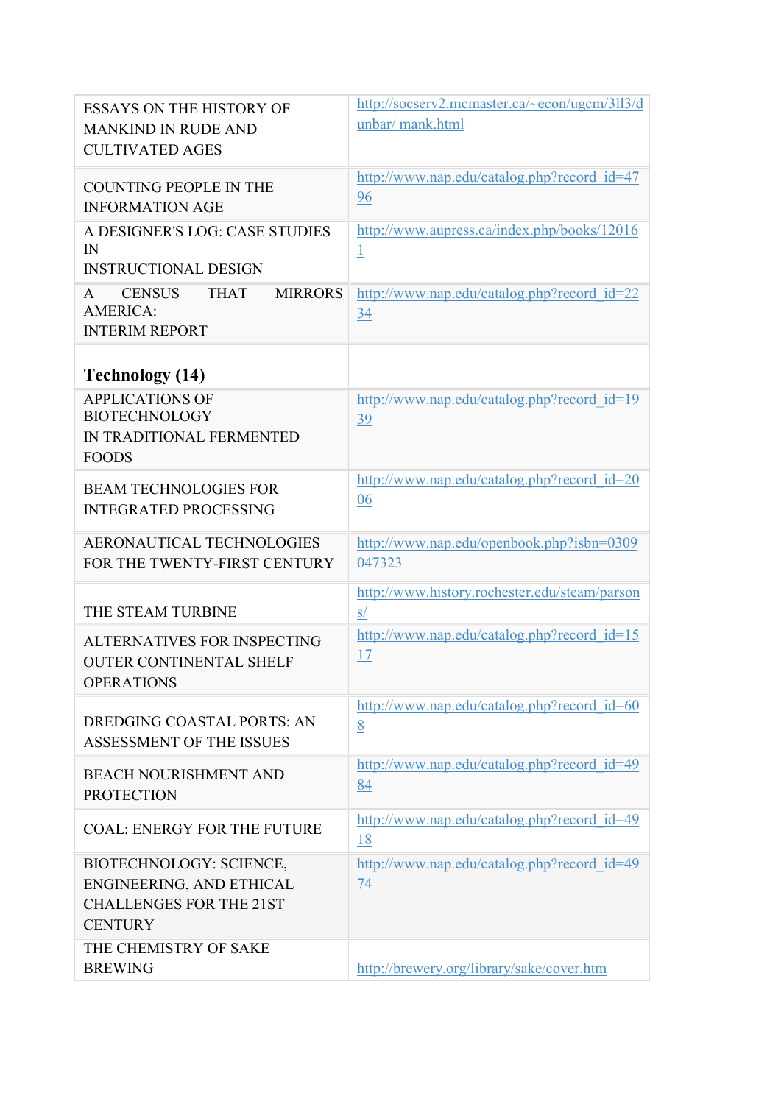| <b>ESSAYS ON THE HISTORY OF</b>                     | http://socserv2.mcmaster.ca/~econ/ugcm/3ll3/d       |
|-----------------------------------------------------|-----------------------------------------------------|
| <b>MANKIND IN RUDE AND</b>                          | unbar/ mank.html                                    |
| <b>CULTIVATED AGES</b>                              |                                                     |
| <b>COUNTING PEOPLE IN THE</b>                       | http://www.nap.edu/catalog.php?record id=47<br>96   |
| <b>INFORMATION AGE</b>                              |                                                     |
| A DESIGNER'S LOG: CASE STUDIES                      | http://www.aupress.ca/index.php/books/12016         |
| $\mathbb{N}$<br><b>INSTRUCTIONAL DESIGN</b>         | $\overline{1}$                                      |
| <b>MIRRORS</b><br><b>CENSUS</b><br><b>THAT</b><br>A | http://www.nap.edu/catalog.php?record id=22         |
| <b>AMERICA:</b>                                     | $\overline{34}$                                     |
| <b>INTERIM REPORT</b>                               |                                                     |
| <b>Technology (14)</b>                              |                                                     |
| <b>APPLICATIONS OF</b>                              | http://www.nap.edu/catalog.php?record_id=19         |
| <b>BIOTECHNOLOGY</b><br>IN TRADITIONAL FERMENTED    | 39                                                  |
| <b>FOODS</b>                                        |                                                     |
| <b>BEAM TECHNOLOGIES FOR</b>                        | http://www.nap.edu/catalog.php?record id=20         |
| <b>INTEGRATED PROCESSING</b>                        | 06                                                  |
| <b>AERONAUTICAL TECHNOLOGIES</b>                    |                                                     |
| FOR THE TWENTY-FIRST CENTURY                        | http://www.nap.edu/openbook.php?isbn=0309<br>047323 |
|                                                     | http://www.history.rochester.edu/steam/parson       |
| THE STEAM TURBINE                                   | s/                                                  |
| ALTERNATIVES FOR INSPECTING                         | http://www.nap.edu/catalog.php?record id=15         |
| <b>OUTER CONTINENTAL SHELF</b>                      | 17                                                  |
| <b>OPERATIONS</b>                                   |                                                     |
| DREDGING COASTAL PORTS: AN                          | http://www.nap.edu/catalog.php?record_id=60<br>8    |
| <b>ASSESSMENT OF THE ISSUES</b>                     |                                                     |
| <b>BEACH NOURISHMENT AND</b>                        | http://www.nap.edu/catalog.php?record_id=49         |
| <b>PROTECTION</b>                                   | 84                                                  |
| <b>COAL: ENERGY FOR THE FUTURE</b>                  | http://www.nap.edu/catalog.php?record id=49         |
|                                                     | <u>18</u>                                           |
| BIOTECHNOLOGY: SCIENCE,<br>ENGINEERING, AND ETHICAL | http://www.nap.edu/catalog.php?record_id=49<br>74   |
| <b>CHALLENGES FOR THE 21ST</b>                      |                                                     |
| <b>CENTURY</b>                                      |                                                     |
| THE CHEMISTRY OF SAKE                               |                                                     |
| <b>BREWING</b>                                      | http://brewery.org/library/sake/cover.htm           |